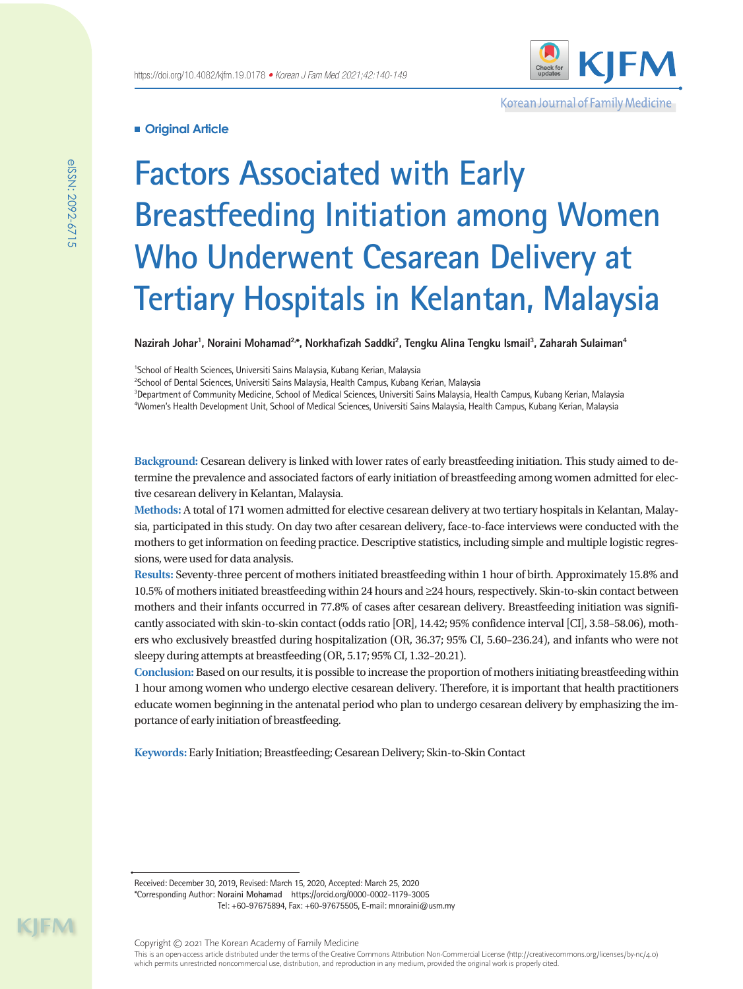

Korean Journal of Family Medicine

# **Original Article**

# **Factors Associated with Early Breastfeeding Initiation among Women Who Underwent Cesarean Delivery at Tertiary Hospitals in Kelantan, Malaysia**

**Nazirah Johar1 , Noraini Mohamad2,\*, Norkhafizah Saddki2 , Tengku Alina Tengku Ismail3 , Zaharah Sulaiman4**

1 School of Health Sciences, Universiti Sains Malaysia, Kubang Kerian, Malaysia

<sup>2</sup>School of Dental Sciences, Universiti Sains Malaysia, Health Campus, Kubang Kerian, Malaysia

3 Department of Community Medicine, School of Medical Sciences, Universiti Sains Malaysia, Health Campus, Kubang Kerian, Malaysia 4 Women's Health Development Unit, School of Medical Sciences, Universiti Sains Malaysia, Health Campus, Kubang Kerian, Malaysia

**Background:** Cesarean delivery is linked with lower rates of early breastfeeding initiation. This study aimed to determine the prevalence and associated factors of early initiation of breastfeeding among women admitted for elective cesarean delivery in Kelantan, Malaysia.

**Methods:** A total of 171 women admitted for elective cesarean delivery at two tertiary hospitals in Kelantan, Malaysia, participated in this study. On day two after cesarean delivery, face-to-face interviews were conducted with the mothers to get information on feeding practice. Descriptive statistics, including simple and multiple logistic regressions, were used for data analysis.

**Results:** Seventy-three percent of mothers initiated breastfeeding within 1 hour of birth. Approximately 15.8% and 10.5% of mothers initiated breastfeeding within 24 hours and ≥24 hours, respectively. Skin-to-skin contact between mothers and their infants occurred in 77.8% of cases after cesarean delivery. Breastfeeding initiation was significantly associated with skin-to-skin contact (odds ratio [OR], 14.42; 95% confidence interval [CI], 3.58–58.06), mothers who exclusively breastfed during hospitalization (OR, 36.37; 95% CI, 5.60–236.24), and infants who were not sleepy during attempts at breastfeeding (OR, 5.17; 95% CI, 1.32–20.21).

**Conclusion:** Based on our results, it is possible to increase the proportion of mothers initiating breastfeeding within 1 hour among women who undergo elective cesarean delivery. Therefore, it is important that health practitioners educate women beginning in the antenatal period who plan to undergo cesarean delivery by emphasizing the importance of early initiation of breastfeeding.

**Keywords:** Early Initiation; Breastfeeding; Cesarean Delivery; Skin-to-Skin Contact

Received: December 30, 2019, Revised: March 15, 2020, Accepted: March 25, 2020 \*Corresponding Author: **Noraini Mohamad** https://orcid.org/0000-0002-1179-3005 Tel: +60-97675894, Fax: +60-97675505, E-mail: mnoraini@usm.my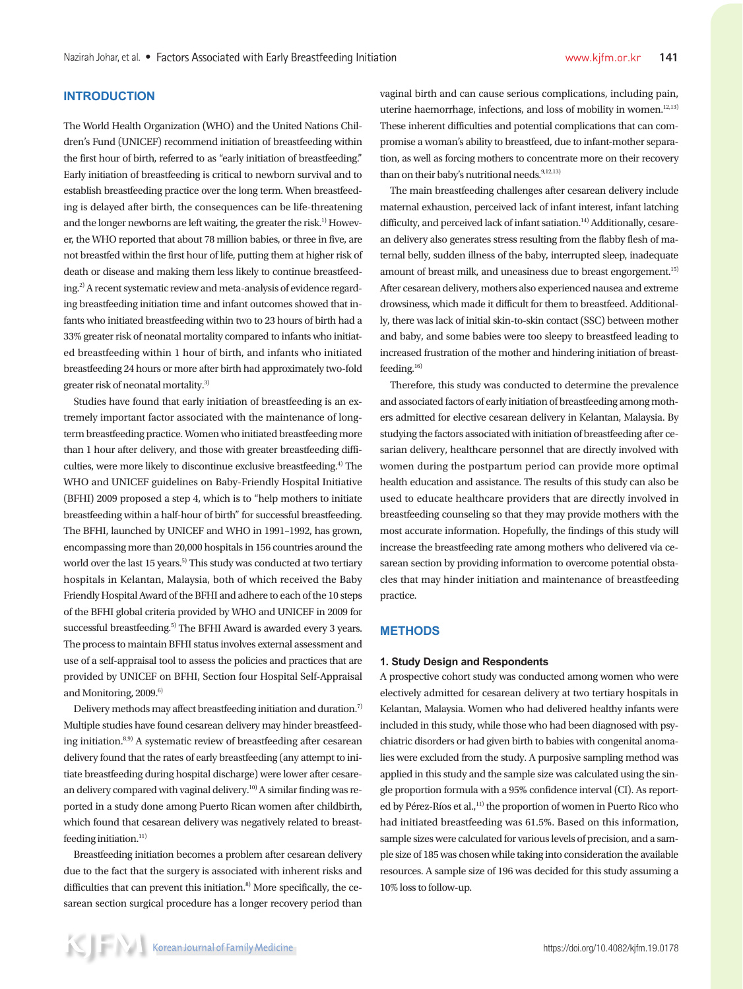# **INTRODUCTION**

The World Health Organization (WHO) and the United Nations Children's Fund (UNICEF) recommend initiation of breastfeeding within the first hour of birth, referred to as "early initiation of breastfeeding." Early initiation of breastfeeding is critical to newborn survival and to establish breastfeeding practice over the long term. When breastfeeding is delayed after birth, the consequences can be life-threatening and the longer newborns are left waiting, the greater the risk.<sup>1)</sup> However, the WHO reported that about 78 million babies, or three in five, are not breastfed within the first hour of life, putting them at higher risk of death or disease and making them less likely to continue breastfeeding.2) A recent systematic review and meta-analysis of evidence regarding breastfeeding initiation time and infant outcomes showed that infants who initiated breastfeeding within two to 23 hours of birth had a 33% greater risk of neonatal mortality compared to infants who initiated breastfeeding within 1 hour of birth, and infants who initiated breastfeeding 24 hours or more after birth had approximately two-fold greater risk of neonatal mortality.3)

Studies have found that early initiation of breastfeeding is an extremely important factor associated with the maintenance of longterm breastfeeding practice. Women who initiated breastfeeding more than 1 hour after delivery, and those with greater breastfeeding difficulties, were more likely to discontinue exclusive breastfeeding.<sup>4)</sup> The WHO and UNICEF guidelines on Baby-Friendly Hospital Initiative (BFHI) 2009 proposed a step 4, which is to "help mothers to initiate breastfeeding within a half-hour of birth" for successful breastfeeding. The BFHI, launched by UNICEF and WHO in 1991–1992, has grown, encompassing more than 20,000 hospitals in 156 countries around the world over the last 15 years.<sup>5)</sup> This study was conducted at two tertiary hospitals in Kelantan, Malaysia, both of which received the Baby Friendly Hospital Award of the BFHI and adhere to each of the 10 steps of the BFHI global criteria provided by WHO and UNICEF in 2009 for successful breastfeeding.<sup>5)</sup> The BFHI Award is awarded every 3 years. The process to maintain BFHI status involves external assessment and use of a self-appraisal tool to assess the policies and practices that are provided by UNICEF on BFHI, Section four Hospital Self-Appraisal and Monitoring, 2009.<sup>6)</sup>

Delivery methods may affect breastfeeding initiation and duration.<sup>7)</sup> Multiple studies have found cesarean delivery may hinder breastfeeding initiation.8,9) A systematic review of breastfeeding after cesarean delivery found that the rates of early breastfeeding (any attempt to initiate breastfeeding during hospital discharge) were lower after cesarean delivery compared with vaginal delivery.10) A similar finding was reported in a study done among Puerto Rican women after childbirth, which found that cesarean delivery was negatively related to breastfeeding initiation. $11$ 

Breastfeeding initiation becomes a problem after cesarean delivery due to the fact that the surgery is associated with inherent risks and difficulties that can prevent this initiation. $8$ <sup>0</sup> More specifically, the cesarean section surgical procedure has a longer recovery period than vaginal birth and can cause serious complications, including pain, uterine haemorrhage, infections, and loss of mobility in women. $12,13)$ These inherent difficulties and potential complications that can compromise a woman's ability to breastfeed, due to infant-mother separation, as well as forcing mothers to concentrate more on their recovery than on their baby's nutritional needs.<sup>9,12,13)</sup>

The main breastfeeding challenges after cesarean delivery include maternal exhaustion, perceived lack of infant interest, infant latching difficulty, and perceived lack of infant satiation.<sup>14)</sup> Additionally, cesarean delivery also generates stress resulting from the flabby flesh of maternal belly, sudden illness of the baby, interrupted sleep, inadequate amount of breast milk, and uneasiness due to breast engorgement.<sup>15)</sup> After cesarean delivery, mothers also experienced nausea and extreme drowsiness, which made it difficult for them to breastfeed. Additionally, there was lack of initial skin-to-skin contact (SSC) between mother and baby, and some babies were too sleepy to breastfeed leading to increased frustration of the mother and hindering initiation of breastfeeding.16)

Therefore, this study was conducted to determine the prevalence and associated factors of early initiation of breastfeeding among mothers admitted for elective cesarean delivery in Kelantan, Malaysia. By studying the factors associated with initiation of breastfeeding after cesarian delivery, healthcare personnel that are directly involved with women during the postpartum period can provide more optimal health education and assistance. The results of this study can also be used to educate healthcare providers that are directly involved in breastfeeding counseling so that they may provide mothers with the most accurate information. Hopefully, the findings of this study will increase the breastfeeding rate among mothers who delivered via cesarean section by providing information to overcome potential obstacles that may hinder initiation and maintenance of breastfeeding practice.

### **METHODS**

### **1. Study Design and Respondents**

A prospective cohort study was conducted among women who were electively admitted for cesarean delivery at two tertiary hospitals in Kelantan, Malaysia. Women who had delivered healthy infants were included in this study, while those who had been diagnosed with psychiatric disorders or had given birth to babies with congenital anomalies were excluded from the study. A purposive sampling method was applied in this study and the sample size was calculated using the single proportion formula with a 95% confidence interval (CI). As reported by Pérez-Ríos et al.,<sup>11)</sup> the proportion of women in Puerto Rico who had initiated breastfeeding was 61.5%. Based on this information, sample sizes were calculated for various levels of precision, and a sample size of 185 was chosen while taking into consideration the available resources. A sample size of 196 was decided for this study assuming a 10% loss to follow-up.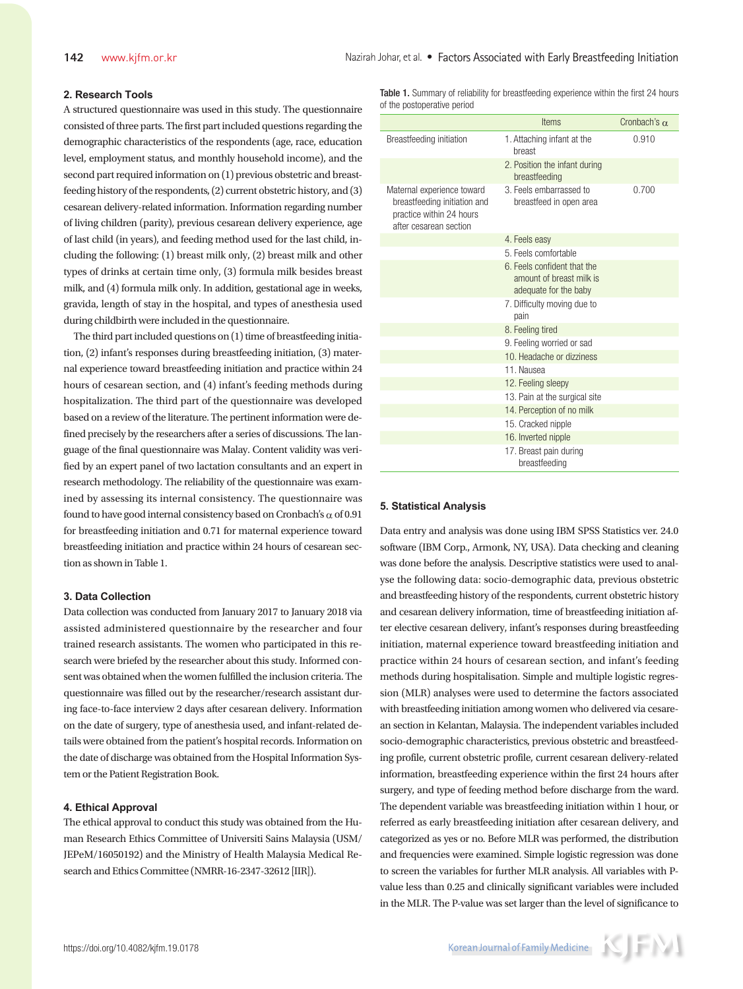### **2. Research Tools**

A structured questionnaire was used in this study. The questionnaire consisted of three parts. The first part included questions regarding the demographic characteristics of the respondents (age, race, education level, employment status, and monthly household income), and the second part required information on (1) previous obstetric and breastfeeding history of the respondents, (2) current obstetric history, and (3) cesarean delivery-related information. Information regarding number of living children (parity), previous cesarean delivery experience, age of last child (in years), and feeding method used for the last child, including the following: (1) breast milk only, (2) breast milk and other types of drinks at certain time only, (3) formula milk besides breast milk, and (4) formula milk only. In addition, gestational age in weeks, gravida, length of stay in the hospital, and types of anesthesia used during childbirth were included in the questionnaire.

The third part included questions on (1) time of breastfeeding initiation, (2) infant's responses during breastfeeding initiation, (3) maternal experience toward breastfeeding initiation and practice within 24 hours of cesarean section, and (4) infant's feeding methods during hospitalization. The third part of the questionnaire was developed based on a review of the literature. The pertinent information were defined precisely by the researchers after a series of discussions. The language of the final questionnaire was Malay. Content validity was verified by an expert panel of two lactation consultants and an expert in research methodology. The reliability of the questionnaire was examined by assessing its internal consistency. The questionnaire was found to have good internal consistency based on Cronbach's  $\alpha$  of 0.91 for breastfeeding initiation and 0.71 for maternal experience toward breastfeeding initiation and practice within 24 hours of cesarean section as shown in Table 1.

### **3. Data Collection**

Data collection was conducted from January 2017 to January 2018 via assisted administered questionnaire by the researcher and four trained research assistants. The women who participated in this research were briefed by the researcher about this study. Informed consent was obtained when the women fulfilled the inclusion criteria. The questionnaire was filled out by the researcher/research assistant during face-to-face interview 2 days after cesarean delivery. Information on the date of surgery, type of anesthesia used, and infant-related details were obtained from the patient's hospital records. Information on the date of discharge was obtained from the Hospital Information System or the Patient Registration Book.

### **4. Ethical Approval**

The ethical approval to conduct this study was obtained from the Human Research Ethics Committee of Universiti Sains Malaysia (USM/ JEPeM/16050192) and the Ministry of Health Malaysia Medical Research and Ethics Committee (NMRR-16-2347-32612 [IIR]).

Table 1. Summary of reliability for breastfeeding experience within the first 24 hours of the postoperative period

|                                                                                                                  | <b>Items</b>                                                                     | Cronbach's $\alpha$ |
|------------------------------------------------------------------------------------------------------------------|----------------------------------------------------------------------------------|---------------------|
| Breastfeeding initiation                                                                                         | 1. Attaching infant at the<br>breast                                             | 0.910               |
|                                                                                                                  | 2. Position the infant during<br>breastfeeding                                   |                     |
| Maternal experience toward<br>breastfeeding initiation and<br>practice within 24 hours<br>after cesarean section | 3. Feels embarrassed to<br>breastfeed in open area                               | 0.700               |
|                                                                                                                  | 4. Feels easy                                                                    |                     |
|                                                                                                                  | 5. Feels comfortable                                                             |                     |
|                                                                                                                  | 6. Feels confident that the<br>amount of breast milk is<br>adequate for the baby |                     |
|                                                                                                                  | 7. Difficulty moving due to<br>pain                                              |                     |
|                                                                                                                  | 8. Feeling tired                                                                 |                     |
|                                                                                                                  | 9. Feeling worried or sad                                                        |                     |
|                                                                                                                  | 10. Headache or dizziness                                                        |                     |
|                                                                                                                  | 11. Nausea                                                                       |                     |
|                                                                                                                  | 12. Feeling sleepy                                                               |                     |
|                                                                                                                  | 13. Pain at the surgical site                                                    |                     |
|                                                                                                                  | 14. Perception of no milk                                                        |                     |
|                                                                                                                  | 15. Cracked nipple                                                               |                     |
|                                                                                                                  | 16. Inverted nipple                                                              |                     |
|                                                                                                                  | 17. Breast pain during<br>breastfeeding                                          |                     |

### **5. Statistical Analysis**

Data entry and analysis was done using IBM SPSS Statistics ver. 24.0 software (IBM Corp., Armonk, NY, USA). Data checking and cleaning was done before the analysis. Descriptive statistics were used to analyse the following data: socio-demographic data, previous obstetric and breastfeeding history of the respondents, current obstetric history and cesarean delivery information, time of breastfeeding initiation after elective cesarean delivery, infant's responses during breastfeeding initiation, maternal experience toward breastfeeding initiation and practice within 24 hours of cesarean section, and infant's feeding methods during hospitalisation. Simple and multiple logistic regression (MLR) analyses were used to determine the factors associated with breastfeeding initiation among women who delivered via cesarean section in Kelantan, Malaysia. The independent variables included socio-demographic characteristics, previous obstetric and breastfeeding profile, current obstetric profile, current cesarean delivery-related information, breastfeeding experience within the first 24 hours after surgery, and type of feeding method before discharge from the ward. The dependent variable was breastfeeding initiation within 1 hour, or referred as early breastfeeding initiation after cesarean delivery, and categorized as yes or no. Before MLR was performed, the distribution and frequencies were examined. Simple logistic regression was done to screen the variables for further MLR analysis. All variables with Pvalue less than 0.25 and clinically significant variables were included in the MLR. The P-value was set larger than the level of significance to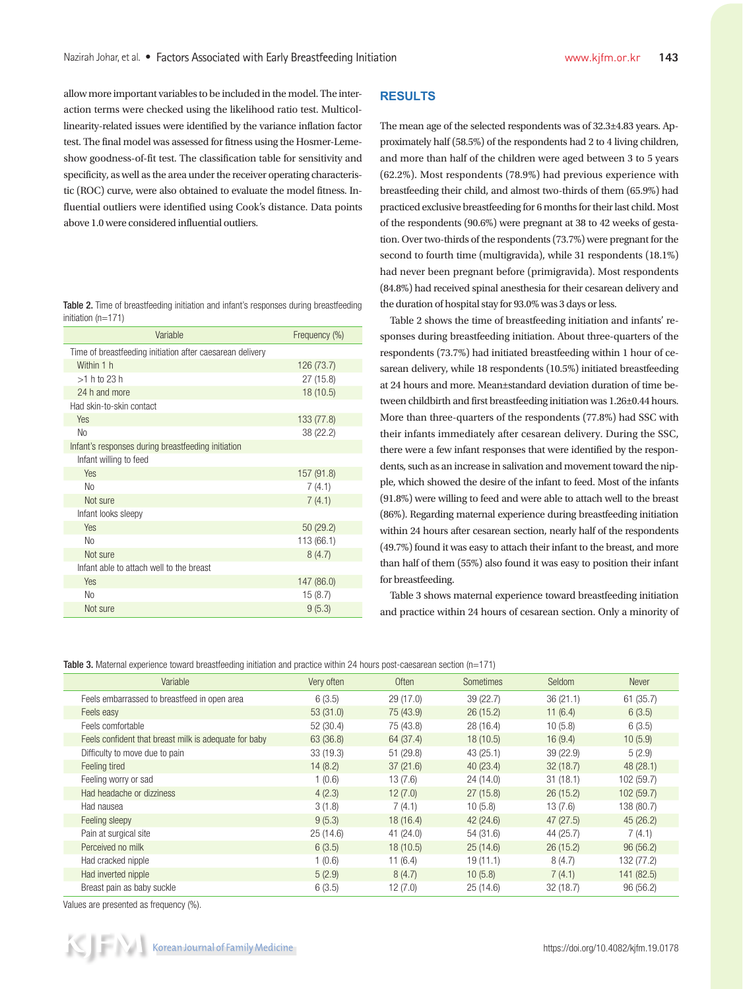allow more important variables to be included in the model. The interaction terms were checked using the likelihood ratio test. Multicollinearity-related issues were identified by the variance inflation factor test. The final model was assessed for fitness using the Hosmer-Lemeshow goodness-of-fit test. The classification table for sensitivity and specificity, as well as the area under the receiver operating characteristic (ROC) curve, were also obtained to evaluate the model fitness. Influential outliers were identified using Cook's distance. Data points above 1.0 were considered influential outliers.

|                    | Table 2. Time of breastfeeding initiation and infant's responses during breastfeeding |  |  |  |  |
|--------------------|---------------------------------------------------------------------------------------|--|--|--|--|
| initiation (n=171) |                                                                                       |  |  |  |  |

| Variable                                                  | Frequency (%) |  |  |  |  |
|-----------------------------------------------------------|---------------|--|--|--|--|
| Time of breastfeeding initiation after caesarean delivery |               |  |  |  |  |
| Within 1 h                                                | 126 (73.7)    |  |  |  |  |
| $>1$ h to 23 h                                            | 27 (15.8)     |  |  |  |  |
| 24 h and more                                             | 18(10.5)      |  |  |  |  |
| Had skin-to-skin contact                                  |               |  |  |  |  |
| Yes                                                       | 133 (77.8)    |  |  |  |  |
| N <sub>0</sub>                                            | 38 (22.2)     |  |  |  |  |
| Infant's responses during breastfeeding initiation        |               |  |  |  |  |
| Infant willing to feed                                    |               |  |  |  |  |
| <b>Yes</b>                                                | 157 (91.8)    |  |  |  |  |
| N <sub>0</sub>                                            | 7(4.1)        |  |  |  |  |
| Not sure                                                  | 7(4.1)        |  |  |  |  |
| Infant looks sleepy                                       |               |  |  |  |  |
| Yes                                                       | 50 (29.2)     |  |  |  |  |
| N <sub>0</sub>                                            | 113 (66.1)    |  |  |  |  |
| Not sure                                                  | 8(4.7)        |  |  |  |  |
| Infant able to attach well to the breast                  |               |  |  |  |  |
| <b>Yes</b>                                                | 147 (86.0)    |  |  |  |  |
| N <sub>0</sub>                                            | 15(8.7)       |  |  |  |  |
| Not sure                                                  | 9(5.3)        |  |  |  |  |

# **RESULTS**

The mean age of the selected respondents was of 32.3±4.83 years. Approximately half (58.5%) of the respondents had 2 to 4 living children, and more than half of the children were aged between 3 to 5 years (62.2%). Most respondents (78.9%) had previous experience with breastfeeding their child, and almost two-thirds of them (65.9%) had practiced exclusive breastfeeding for 6 months for their last child. Most of the respondents (90.6%) were pregnant at 38 to 42 weeks of gestation. Over two-thirds of the respondents (73.7%) were pregnant for the second to fourth time (multigravida), while 31 respondents (18.1%) had never been pregnant before (primigravida). Most respondents (84.8%) had received spinal anesthesia for their cesarean delivery and the duration of hospital stay for 93.0% was 3 days or less.

Table 2 shows the time of breastfeeding initiation and infants' responses during breastfeeding initiation. About three-quarters of the respondents (73.7%) had initiated breastfeeding within 1 hour of cesarean delivery, while 18 respondents (10.5%) initiated breastfeeding at 24 hours and more. Mean±standard deviation duration of time between childbirth and first breastfeeding initiation was 1.26±0.44 hours. More than three-quarters of the respondents (77.8%) had SSC with their infants immediately after cesarean delivery. During the SSC, there were a few infant responses that were identified by the respondents, such as an increase in salivation and movement toward the nipple, which showed the desire of the infant to feed. Most of the infants (91.8%) were willing to feed and were able to attach well to the breast (86%). Regarding maternal experience during breastfeeding initiation within 24 hours after cesarean section, nearly half of the respondents (49.7%) found it was easy to attach their infant to the breast, and more than half of them (55%) also found it was easy to position their infant for breastfeeding.

Table 3 shows maternal experience toward breastfeeding initiation and practice within 24 hours of cesarean section. Only a minority of

| Variable                                              | Very often | <b>Often</b> | <b>Sometimes</b> | Seldom    | <b>Never</b> |
|-------------------------------------------------------|------------|--------------|------------------|-----------|--------------|
| Feels embarrassed to breastfeed in open area          | 6(3.5)     | 29 (17.0)    | 39(22.7)         | 36(21.1)  | 61(35.7)     |
| Feels easy                                            | 53(31.0)   | 75 (43.9)    | 26(15.2)         | 11(6.4)   | 6(3.5)       |
| Feels comfortable                                     | 52(30.4)   | 75 (43.8)    | 28(16.4)         | 10(5.8)   | 6(3.5)       |
| Feels confident that breast milk is adequate for baby | 63 (36.8)  | 64 (37.4)    | 18(10.5)         | 16(9.4)   | 10(5.9)      |
| Difficulty to move due to pain                        | 33(19.3)   | 51 (29.8)    | 43(25.1)         | 39 (22.9) | 5(2.9)       |
| Feeling tired                                         | 14(8.2)    | 37(21.6)     | 40(23.4)         | 32(18.7)  | 48(28.1)     |
| Feeling worry or sad                                  | 1(0.6)     | 13(7.6)      | 24(14.0)         | 31(18.1)  | 102 (59.7)   |
| Had headache or dizziness                             | 4(2.3)     | 12(7.0)      | 27(15.8)         | 26(15.2)  | 102(59.7)    |
| Had nausea                                            | 3(1.8)     | 7(4.1)       | 10(5.8)          | 13(7.6)   | 138 (80.7)   |
| Feeling sleepy                                        | 9(5.3)     | 18(16.4)     | 42(24.6)         | 47(27.5)  | 45(26.2)     |
| Pain at surgical site                                 | 25(14.6)   | 41 (24.0)    | 54 (31.6)        | 44 (25.7) | 7(4.1)       |
| Perceived no milk                                     | 6(3.5)     | 18(10.5)     | 25(14.6)         | 26(15.2)  | 96(56.2)     |
| Had cracked nipple                                    | 1(0.6)     | 11(6.4)      | 19(11.1)         | 8(4.7)    | 132 (77.2)   |
| Had inverted nipple                                   | 5(2.9)     | 8(4.7)       | 10(5.8)          | 7(4.1)    | 141 (82.5)   |
| Breast pain as baby suckle                            | 6(3.5)     | 12(7.0)      | 25(14.6)         | 32(18.7)  | 96 (56.2)    |
|                                                       |            |              |                  |           |              |

Values are presented as frequency (%).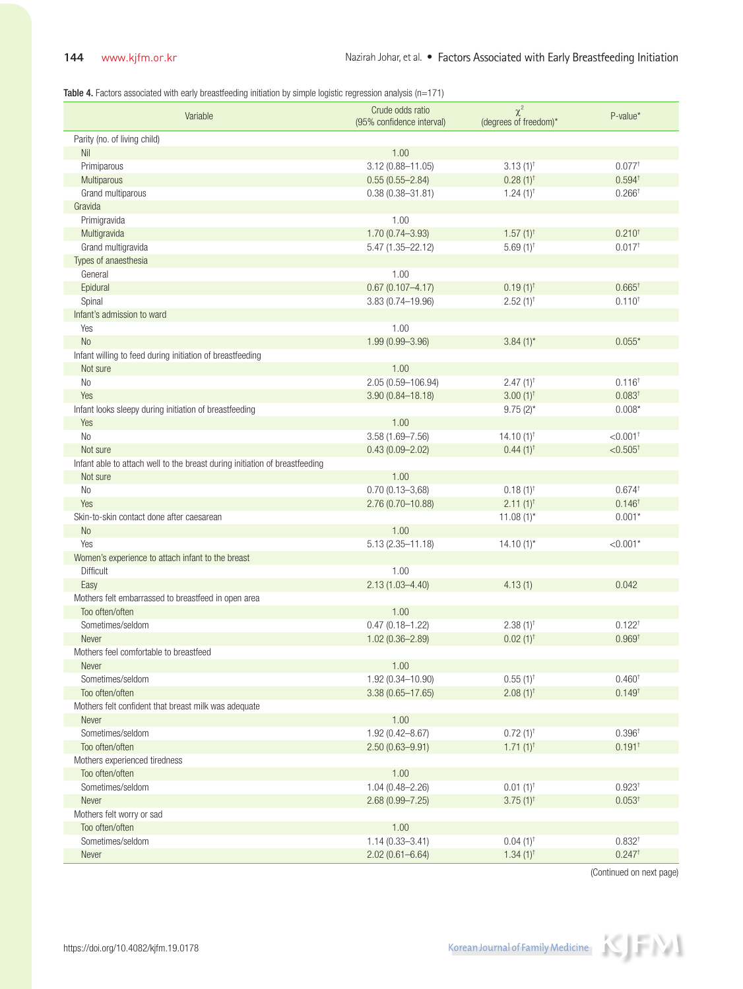Table 4. Factors associated with early breastfeeding initiation by simple logistic regression analysis (n=171)

| Variable                                                                    | Crude odds ratio<br>(95% confidence interval) | $\chi^2$<br>(degrees of freedom)* | P-value*                                 |
|-----------------------------------------------------------------------------|-----------------------------------------------|-----------------------------------|------------------------------------------|
| Parity (no. of living child)                                                |                                               |                                   |                                          |
| Nil                                                                         | 1.00                                          |                                   |                                          |
| Primiparous                                                                 | 3.12 (0.88-11.05)                             | $3.13(1)^{†}$                     | $0.077^{\dagger}$                        |
| Multiparous                                                                 | $0.55(0.55 - 2.84)$                           | $0.28(1)$ <sup>t</sup>            | 0.594 <sup>†</sup>                       |
| Grand multiparous                                                           | $0.38(0.38 - 31.81)$                          | $1.24(1)$ <sup>†</sup>            | $0.266^+$                                |
| Gravida                                                                     |                                               |                                   |                                          |
| Primigravida                                                                | 1.00                                          |                                   |                                          |
| Multigravida                                                                | $1.70(0.74 - 3.93)$                           | $1.57(1)$ <sup>†</sup>            | $0.210^{+}$                              |
| Grand multigravida                                                          | $5.47(1.35 - 22.12)$                          | $5.69(1)$ <sup>†</sup>            | $0.017^{+}$                              |
| Types of anaesthesia                                                        |                                               |                                   |                                          |
| General                                                                     | 1.00                                          |                                   |                                          |
| Epidural                                                                    | $0.67(0.107 - 4.17)$                          | $0.19(1)^{†}$                     | $0.665^{\dagger}$                        |
| Spinal                                                                      | 3.83 (0.74-19.96)                             | $2.52(1)$ <sup>†</sup>            | $0.110^{+}$                              |
| Infant's admission to ward                                                  |                                               |                                   |                                          |
| Yes                                                                         | 1.00                                          |                                   |                                          |
| N <sub>0</sub>                                                              | 1.99 (0.99-3.96)                              | $3.84(1)$ *                       | $0.055*$                                 |
| Infant willing to feed during initiation of breastfeeding                   |                                               |                                   |                                          |
| Not sure                                                                    | 1.00                                          |                                   |                                          |
| No                                                                          | 2.05 (0.59-106.94)                            | $2.47(1)$ <sup>†</sup>            | 0.116 <sup>†</sup><br>0.083 <sup>†</sup> |
| Yes                                                                         | $3.90(0.84 - 18.18)$                          | $3.00(1)$ <sup>†</sup>            | $0.008*$                                 |
| Infant looks sleepy during initiation of breastfeeding                      | 1.00                                          | $9.75(2)$ *                       |                                          |
| Yes<br>No                                                                   | $3.58(1.69 - 7.56)$                           | $14.10(1)$ <sup>†</sup>           | $< 0.001$ <sup>+</sup>                   |
| Not sure                                                                    | $0.43(0.09 - 2.02)$                           | $0.44(1)$ <sup>†</sup>            | $< 0.505^+$                              |
| Infant able to attach well to the breast during initiation of breastfeeding |                                               |                                   |                                          |
| Not sure                                                                    | 1.00                                          |                                   |                                          |
| No                                                                          | $0.70(0.13 - 3.68)$                           | $0.18(1)^{+}$                     | $0.674^{+}$                              |
| Yes                                                                         | 2.76 (0.70-10.88)                             | $2.11(1)^{t}$                     | 0.146 <sup>†</sup>                       |
| Skin-to-skin contact done after caesarean                                   |                                               | $11.08(1)^{*}$                    | $0.001*$                                 |
| <b>No</b>                                                                   | 1.00                                          |                                   |                                          |
| Yes                                                                         | $5.13(2.35 - 11.18)$                          | $14.10(1)$ *                      | $< 0.001*$                               |
| Women's experience to attach infant to the breast                           |                                               |                                   |                                          |
| <b>Difficult</b>                                                            | 1.00                                          |                                   |                                          |
| Easy                                                                        | $2.13(1.03 - 4.40)$                           | 4.13(1)                           | 0.042                                    |
| Mothers felt embarrassed to breastfeed in open area                         |                                               |                                   |                                          |
| Too often/often                                                             | 1.00                                          |                                   |                                          |
| Sometimes/seldom                                                            | $0.47(0.18 - 1.22)$                           | $2.38(1)$ <sup>†</sup>            | $0.122^{+}$                              |
| <b>Never</b>                                                                | $1.02(0.36 - 2.89)$                           | $0.02(1)^{†}$                     | 0.969 <sup>†</sup>                       |
| Mothers feel comfortable to breastfeed                                      |                                               |                                   |                                          |
| Never                                                                       | 1.00                                          |                                   |                                          |
| Sometimes/seldom                                                            | 1.92 (0.34-10.90)                             | $0.55(1)^{†}$                     | 0.460 <sup>†</sup>                       |
| Too often/often                                                             | 3.38 (0.65-17.65)                             | $2.08(1)$ <sup>†</sup>            | $0.149^{+}$                              |
| Mothers felt confident that breast milk was adequate                        |                                               |                                   |                                          |
| Never                                                                       | 1.00                                          |                                   |                                          |
| Sometimes/seldom                                                            | 1.92 (0.42-8.67)                              | $0.72(1)$ <sup>†</sup>            | $0.396^{+}$                              |
| Too often/often                                                             | $2.50(0.63 - 9.91)$                           | $1.71(1)^{t}$                     | 0.191 <sup>†</sup>                       |
| Mothers experienced tiredness                                               |                                               |                                   |                                          |
| Too often/often<br>Sometimes/seldom                                         | 1.00                                          |                                   |                                          |
| Never                                                                       | $1.04(0.48 - 2.26)$                           | $0.01(1)^{+}$                     | $0.923^{+}$                              |
|                                                                             | $2.68(0.99 - 7.25)$                           | $3.75(1)$ <sup>†</sup>            | $0.053^{\dagger}$                        |
| Mothers felt worry or sad<br>Too often/often                                | 1.00                                          |                                   |                                          |
| Sometimes/seldom                                                            | $1.14(0.33 - 3.41)$                           | $0.04(1)^{+}$                     | $0.832^{+}$                              |
| Never                                                                       | $2.02(0.61 - 6.64)$                           | $1.34(1)$ <sup>†</sup>            | $0.247$ <sup>+</sup>                     |
|                                                                             |                                               |                                   |                                          |

(Continued on next page)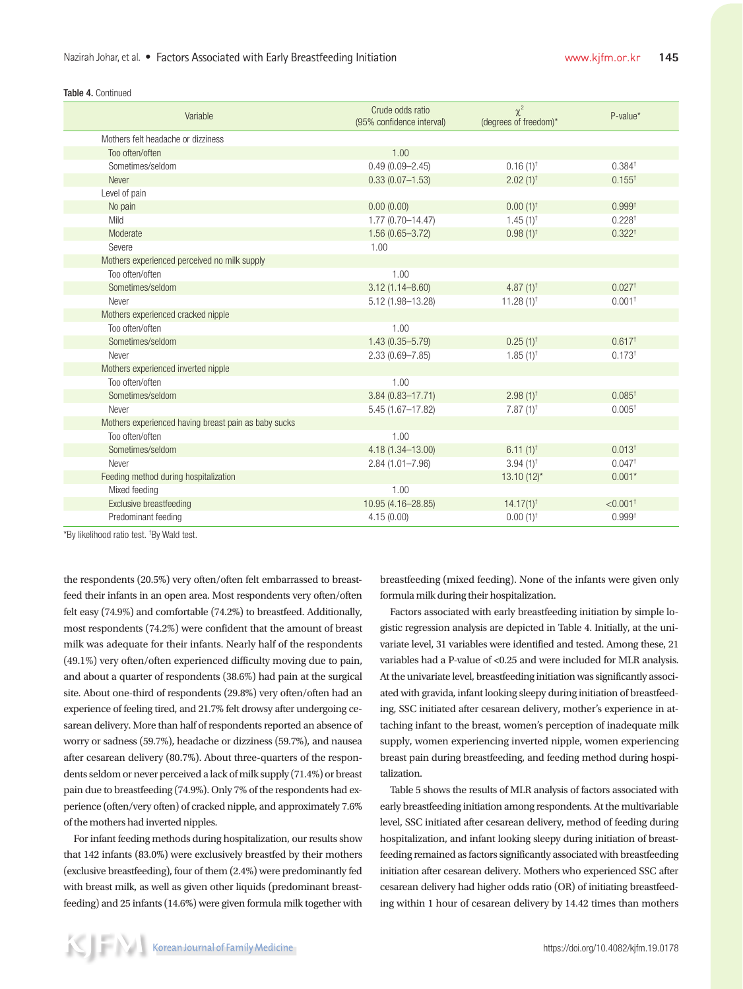### Nazirah Johar, et al. • Factors Associated with Early Breastfeeding Initiation

Table 4. Continued

| Variable                                             | Crude odds ratio<br>(95% confidence interval) | $\chi^2$<br>(degrees of freedom)* | $P$ -value*            |
|------------------------------------------------------|-----------------------------------------------|-----------------------------------|------------------------|
| Mothers felt headache or dizziness                   |                                               |                                   |                        |
| Too often/often                                      | 1.00                                          |                                   |                        |
| Sometimes/seldom                                     | $0.49(0.09 - 2.45)$                           | $0.16(1)^{†}$                     | 0.384 <sup>†</sup>     |
| Never                                                | $0.33(0.07 - 1.53)$                           | $2.02(1)^{+}$                     | $0.155^{+}$            |
| Level of pain                                        |                                               |                                   |                        |
| No pain                                              | 0.00(0.00)                                    | $0.00(1)^{+}$                     | $0.999^{+}$            |
| Mild                                                 | 1.77 (0.70-14.47)                             | $1.45(1)$ <sup>†</sup>            | 0.228 <sup>†</sup>     |
| Moderate                                             | $1.56(0.65 - 3.72)$                           | $0.98(1)$ <sup>†</sup>            | $0.322^{+}$            |
| Severe                                               | 1.00                                          |                                   |                        |
| Mothers experienced perceived no milk supply         |                                               |                                   |                        |
| Too often/often                                      | 1.00                                          |                                   |                        |
| Sometimes/seldom                                     | $3.12(1.14 - 8.60)$                           | 4.87 $(1)^{+}$                    | $0.027$ <sup>t</sup>   |
| Never                                                | 5.12 (1.98-13.28)                             | 11.28 $(1)^{+}$                   | 0.001 <sup>†</sup>     |
| Mothers experienced cracked nipple                   |                                               |                                   |                        |
| Too often/often                                      | 1.00                                          |                                   |                        |
| Sometimes/seldom                                     | $1.43(0.35 - 5.79)$                           | $0.25(1)^{+}$                     | 0.617 <sup>†</sup>     |
| Never                                                | $2.33(0.69 - 7.85)$                           | $1.85(1)^{+}$                     | $0.173^{+}$            |
| Mothers experienced inverted nipple                  |                                               |                                   |                        |
| Too often/often                                      | 1.00                                          |                                   |                        |
| Sometimes/seldom                                     | $3.84(0.83 - 17.71)$                          | $2.98(1)$ <sup>†</sup>            | 0.085 <sup>†</sup>     |
| Never                                                | $5.45(1.67 - 17.82)$                          | $7.87(1)^{+}$                     | 0.005 <sup>†</sup>     |
| Mothers experienced having breast pain as baby sucks |                                               |                                   |                        |
| Too often/often                                      | 1.00                                          |                                   |                        |
| Sometimes/seldom                                     | 4.18 (1.34-13.00)                             | $6.11(1)^{†}$                     | 0.013 <sup>†</sup>     |
| Never                                                | $2.84(1.01 - 7.96)$                           | $3.94(1)$ <sup>†</sup>            | 0.047 <sup>†</sup>     |
| Feeding method during hospitalization                |                                               | $13.10(12)^{*}$                   | $0.001*$               |
| Mixed feeding                                        | 1.00                                          |                                   |                        |
| <b>Exclusive breastfeeding</b>                       | 10.95 (4.16-28.85)                            | $14.17(1)$ <sup>†</sup>           | $< 0.001$ <sup>+</sup> |
| Predominant feeding                                  | 4.15(0.00)                                    | $0.00(1)^{+}$                     | $0.999^{+}$            |

\*By likelihood ratio test. † By Wald test.

the respondents (20.5%) very often/often felt embarrassed to breastfeed their infants in an open area. Most respondents very often/often felt easy (74.9%) and comfortable (74.2%) to breastfeed. Additionally, most respondents (74.2%) were confident that the amount of breast milk was adequate for their infants. Nearly half of the respondents (49.1%) very often/often experienced difficulty moving due to pain, and about a quarter of respondents (38.6%) had pain at the surgical site. About one-third of respondents (29.8%) very often/often had an experience of feeling tired, and 21.7% felt drowsy after undergoing cesarean delivery. More than half of respondents reported an absence of worry or sadness (59.7%), headache or dizziness (59.7%), and nausea after cesarean delivery (80.7%). About three-quarters of the respondents seldom or never perceived a lack of milk supply (71.4%) or breast pain due to breastfeeding (74.9%). Only 7% of the respondents had experience (often/very often) of cracked nipple, and approximately 7.6% of the mothers had inverted nipples.

For infant feeding methods during hospitalization, our results show that 142 infants (83.0%) were exclusively breastfed by their mothers (exclusive breastfeeding), four of them (2.4%) were predominantly fed with breast milk, as well as given other liquids (predominant breastfeeding) and 25 infants (14.6%) were given formula milk together with

breastfeeding (mixed feeding). None of the infants were given only formula milk during their hospitalization.

Factors associated with early breastfeeding initiation by simple logistic regression analysis are depicted in Table 4. Initially, at the univariate level, 31 variables were identified and tested. Among these, 21 variables had a P-value of <0.25 and were included for MLR analysis. At the univariate level, breastfeeding initiation was significantly associated with gravida, infant looking sleepy during initiation of breastfeeding, SSC initiated after cesarean delivery, mother's experience in attaching infant to the breast, women's perception of inadequate milk supply, women experiencing inverted nipple, women experiencing breast pain during breastfeeding, and feeding method during hospitalization.

Table 5 shows the results of MLR analysis of factors associated with early breastfeeding initiation among respondents. At the multivariable level, SSC initiated after cesarean delivery, method of feeding during hospitalization, and infant looking sleepy during initiation of breastfeeding remained as factors significantly associated with breastfeeding initiation after cesarean delivery. Mothers who experienced SSC after cesarean delivery had higher odds ratio (OR) of initiating breastfeeding within 1 hour of cesarean delivery by 14.42 times than mothers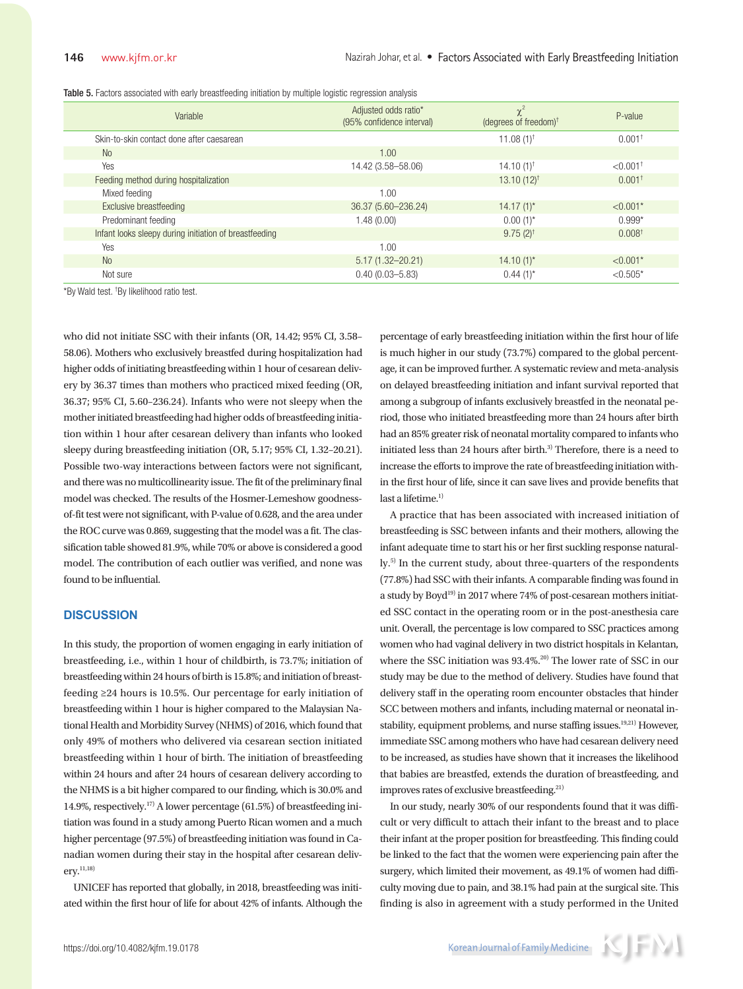| Table 5. Factors associated with early breastfeeding initiation by multiple logistic regression analysis |  |  |  |
|----------------------------------------------------------------------------------------------------------|--|--|--|
|----------------------------------------------------------------------------------------------------------|--|--|--|

| Variable                                               | Adjusted odds ratio*<br>(95% confidence interval) | $\chi^2$<br>(degrees of freedom) <sup><math>\dagger</math></sup> | P-value                |
|--------------------------------------------------------|---------------------------------------------------|------------------------------------------------------------------|------------------------|
| Skin-to-skin contact done after caesarean              |                                                   | 11.08 $(1)^{\dagger}$                                            | $0.001$ <sup>+</sup>   |
| N <sub>0</sub>                                         | 1.00                                              |                                                                  |                        |
| Yes                                                    | 14.42 (3.58-58.06)                                | $14.10(1)^{+}$                                                   | $< 0.001$ <sup>+</sup> |
| Feeding method during hospitalization                  |                                                   | $13.10(12)^{t}$                                                  | $0.001$ <sup>+</sup>   |
| Mixed feeding                                          | 1.00                                              |                                                                  |                        |
| <b>Exclusive breastfeeding</b>                         | 36.37 (5.60-236.24)                               | $14.17(1)^*$                                                     | $< 0.001*$             |
| Predominant feeding                                    | 1.48(0.00)                                        | $0.00(1)^{*}$                                                    | $0.999*$               |
| Infant looks sleepy during initiation of breastfeeding |                                                   | $9.75(2)^{+}$                                                    | 0.008 <sup>†</sup>     |
| Yes                                                    | 1.00                                              |                                                                  |                        |
| N <sub>0</sub>                                         | $5.17(1.32 - 20.21)$                              | $14.10(1)^{*}$                                                   | $< 0.001*$             |
| Not sure                                               | $0.40(0.03 - 5.83)$                               | $0.44(1)^{*}$                                                    | $< 0.505*$             |

\*By Wald test. † By likelihood ratio test.

who did not initiate SSC with their infants (OR, 14.42; 95% CI, 3.58– 58.06). Mothers who exclusively breastfed during hospitalization had higher odds of initiating breastfeeding within 1 hour of cesarean delivery by 36.37 times than mothers who practiced mixed feeding (OR, 36.37; 95% CI, 5.60–236.24). Infants who were not sleepy when the mother initiated breastfeeding had higher odds of breastfeeding initiation within 1 hour after cesarean delivery than infants who looked sleepy during breastfeeding initiation (OR, 5.17; 95% CI, 1.32–20.21). Possible two-way interactions between factors were not significant, and there was no multicollinearity issue. The fit of the preliminary final model was checked. The results of the Hosmer-Lemeshow goodnessof-fit test were not significant, with P-value of 0.628, and the area under the ROC curve was 0.869, suggesting that the model was a fit. The classification table showed 81.9%, while 70% or above is considered a good model. The contribution of each outlier was verified, and none was found to be influential.

### **DISCUSSION**

In this study, the proportion of women engaging in early initiation of breastfeeding, i.e., within 1 hour of childbirth, is 73.7%; initiation of breastfeeding within 24 hours of birth is 15.8%; and initiation of breastfeeding ≥24 hours is 10.5%. Our percentage for early initiation of breastfeeding within 1 hour is higher compared to the Malaysian National Health and Morbidity Survey (NHMS) of 2016, which found that only 49% of mothers who delivered via cesarean section initiated breastfeeding within 1 hour of birth. The initiation of breastfeeding within 24 hours and after 24 hours of cesarean delivery according to the NHMS is a bit higher compared to our finding, which is 30.0% and 14.9%, respectively.17) A lower percentage (61.5%) of breastfeeding initiation was found in a study among Puerto Rican women and a much higher percentage (97.5%) of breastfeeding initiation was found in Canadian women during their stay in the hospital after cesarean delivery.11,18)

UNICEF has reported that globally, in 2018, breastfeeding was initiated within the first hour of life for about 42% of infants. Although the

percentage of early breastfeeding initiation within the first hour of life is much higher in our study (73.7%) compared to the global percentage, it can be improved further. A systematic review and meta-analysis on delayed breastfeeding initiation and infant survival reported that among a subgroup of infants exclusively breastfed in the neonatal period, those who initiated breastfeeding more than 24 hours after birth had an 85% greater risk of neonatal mortality compared to infants who initiated less than 24 hours after birth.<sup>3)</sup> Therefore, there is a need to increase the efforts to improve the rate of breastfeeding initiation within the first hour of life, since it can save lives and provide benefits that last a lifetime. $1)$ 

A practice that has been associated with increased initiation of breastfeeding is SSC between infants and their mothers, allowing the infant adequate time to start his or her first suckling response naturally.5) In the current study, about three-quarters of the respondents (77.8%) had SSC with their infants. A comparable finding was found in a study by Boyd<sup>19)</sup> in 2017 where 74% of post-cesarean mothers initiated SSC contact in the operating room or in the post-anesthesia care unit. Overall, the percentage is low compared to SSC practices among women who had vaginal delivery in two district hospitals in Kelantan, where the SSC initiation was 93.4%.<sup>20)</sup> The lower rate of SSC in our study may be due to the method of delivery. Studies have found that delivery staff in the operating room encounter obstacles that hinder SCC between mothers and infants, including maternal or neonatal instability, equipment problems, and nurse staffing issues.<sup>19,21)</sup> However, immediate SSC among mothers who have had cesarean delivery need to be increased, as studies have shown that it increases the likelihood that babies are breastfed, extends the duration of breastfeeding, and improves rates of exclusive breastfeeding.<sup>21)</sup>

In our study, nearly 30% of our respondents found that it was difficult or very difficult to attach their infant to the breast and to place their infant at the proper position for breastfeeding. This finding could be linked to the fact that the women were experiencing pain after the surgery, which limited their movement, as 49.1% of women had difficulty moving due to pain, and 38.1% had pain at the surgical site. This finding is also in agreement with a study performed in the United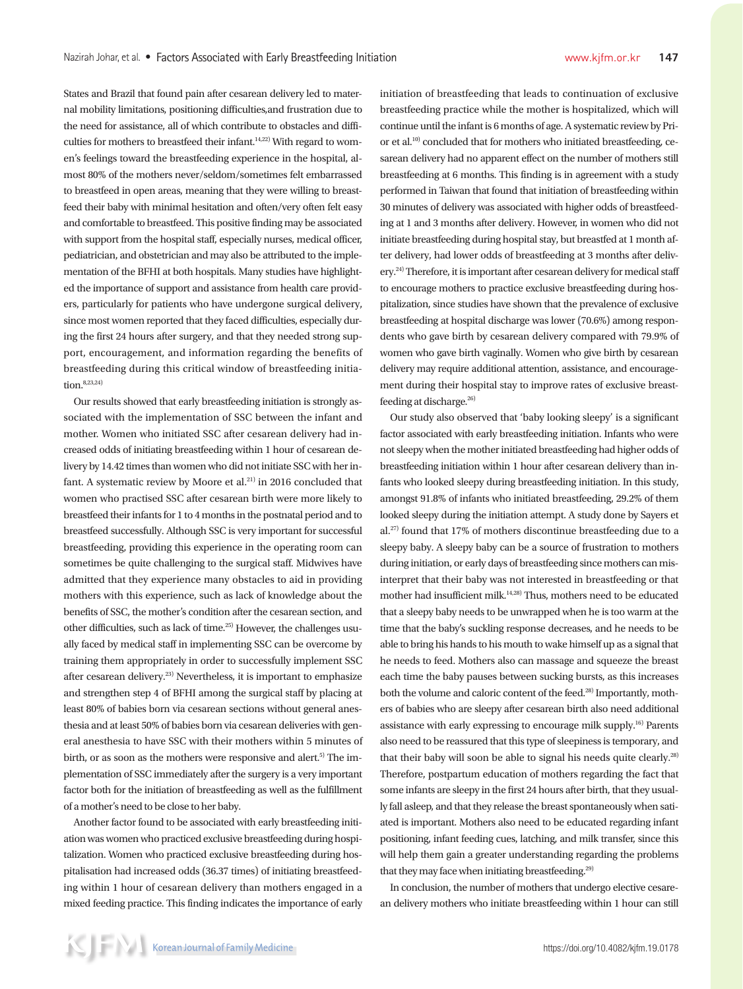States and Brazil that found pain after cesarean delivery led to maternal mobility limitations, positioning difficulties,and frustration due to the need for assistance, all of which contribute to obstacles and difficulties for mothers to breastfeed their infant.<sup>14,22)</sup> With regard to women's feelings toward the breastfeeding experience in the hospital, almost 80% of the mothers never/seldom/sometimes felt embarrassed to breastfeed in open areas, meaning that they were willing to breastfeed their baby with minimal hesitation and often/very often felt easy and comfortable to breastfeed. This positive finding may be associated with support from the hospital staff, especially nurses, medical officer, pediatrician, and obstetrician and may also be attributed to the implementation of the BFHI at both hospitals. Many studies have highlighted the importance of support and assistance from health care providers, particularly for patients who have undergone surgical delivery, since most women reported that they faced difficulties, especially during the first 24 hours after surgery, and that they needed strong support, encouragement, and information regarding the benefits of breastfeeding during this critical window of breastfeeding initia- $\text{tion.}^{8,23,24)}$ 

Our results showed that early breastfeeding initiation is strongly associated with the implementation of SSC between the infant and mother. Women who initiated SSC after cesarean delivery had increased odds of initiating breastfeeding within 1 hour of cesarean delivery by 14.42 times than women who did not initiate SSC with her infant. A systematic review by Moore et al.<sup>21)</sup> in 2016 concluded that women who practised SSC after cesarean birth were more likely to breastfeed their infants for 1 to 4 months in the postnatal period and to breastfeed successfully. Although SSC is very important for successful breastfeeding, providing this experience in the operating room can sometimes be quite challenging to the surgical staff. Midwives have admitted that they experience many obstacles to aid in providing mothers with this experience, such as lack of knowledge about the benefits of SSC, the mother's condition after the cesarean section, and other difficulties, such as lack of time.25) However, the challenges usually faced by medical staff in implementing SSC can be overcome by training them appropriately in order to successfully implement SSC after cesarean delivery.23) Nevertheless, it is important to emphasize and strengthen step 4 of BFHI among the surgical staff by placing at least 80% of babies born via cesarean sections without general anesthesia and at least 50% of babies born via cesarean deliveries with general anesthesia to have SSC with their mothers within 5 minutes of birth, or as soon as the mothers were responsive and alert.<sup>5)</sup> The implementation of SSC immediately after the surgery is a very important factor both for the initiation of breastfeeding as well as the fulfillment of a mother's need to be close to her baby.

Another factor found to be associated with early breastfeeding initiation was women who practiced exclusive breastfeeding during hospitalization. Women who practiced exclusive breastfeeding during hospitalisation had increased odds (36.37 times) of initiating breastfeeding within 1 hour of cesarean delivery than mothers engaged in a mixed feeding practice. This finding indicates the importance of early initiation of breastfeeding that leads to continuation of exclusive breastfeeding practice while the mother is hospitalized, which will continue until the infant is 6 months of age. A systematic review by Prior et al.10) concluded that for mothers who initiated breastfeeding, cesarean delivery had no apparent effect on the number of mothers still breastfeeding at 6 months. This finding is in agreement with a study performed in Taiwan that found that initiation of breastfeeding within 30 minutes of delivery was associated with higher odds of breastfeeding at 1 and 3 months after delivery. However, in women who did not initiate breastfeeding during hospital stay, but breastfed at 1 month after delivery, had lower odds of breastfeeding at 3 months after delivery.<sup>24)</sup> Therefore, it is important after cesarean delivery for medical staff to encourage mothers to practice exclusive breastfeeding during hospitalization, since studies have shown that the prevalence of exclusive breastfeeding at hospital discharge was lower (70.6%) among respondents who gave birth by cesarean delivery compared with 79.9% of women who gave birth vaginally. Women who give birth by cesarean delivery may require additional attention, assistance, and encouragement during their hospital stay to improve rates of exclusive breastfeeding at discharge.<sup>26)</sup>

Our study also observed that 'baby looking sleepy' is a significant factor associated with early breastfeeding initiation. Infants who were not sleepy when the mother initiated breastfeeding had higher odds of breastfeeding initiation within 1 hour after cesarean delivery than infants who looked sleepy during breastfeeding initiation. In this study, amongst 91.8% of infants who initiated breastfeeding, 29.2% of them looked sleepy during the initiation attempt. A study done by Sayers et  $al^{27)}$  found that 17% of mothers discontinue breastfeeding due to a sleepy baby. A sleepy baby can be a source of frustration to mothers during initiation, or early days of breastfeeding since mothers can misinterpret that their baby was not interested in breastfeeding or that mother had insufficient milk.14,28) Thus, mothers need to be educated that a sleepy baby needs to be unwrapped when he is too warm at the time that the baby's suckling response decreases, and he needs to be able to bring his hands to his mouth to wake himself up as a signal that he needs to feed. Mothers also can massage and squeeze the breast each time the baby pauses between sucking bursts, as this increases both the volume and caloric content of the feed.<sup>28)</sup> Importantly, mothers of babies who are sleepy after cesarean birth also need additional assistance with early expressing to encourage milk supply.16) Parents also need to be reassured that this type of sleepiness is temporary, and that their baby will soon be able to signal his needs quite clearly.<sup>28)</sup> Therefore, postpartum education of mothers regarding the fact that some infants are sleepy in the first 24 hours after birth, that they usually fall asleep, and that they release the breast spontaneously when satiated is important. Mothers also need to be educated regarding infant positioning, infant feeding cues, latching, and milk transfer, since this will help them gain a greater understanding regarding the problems that they may face when initiating breastfeeding.<sup>29)</sup>

In conclusion, the number of mothers that undergo elective cesarean delivery mothers who initiate breastfeeding within 1 hour can still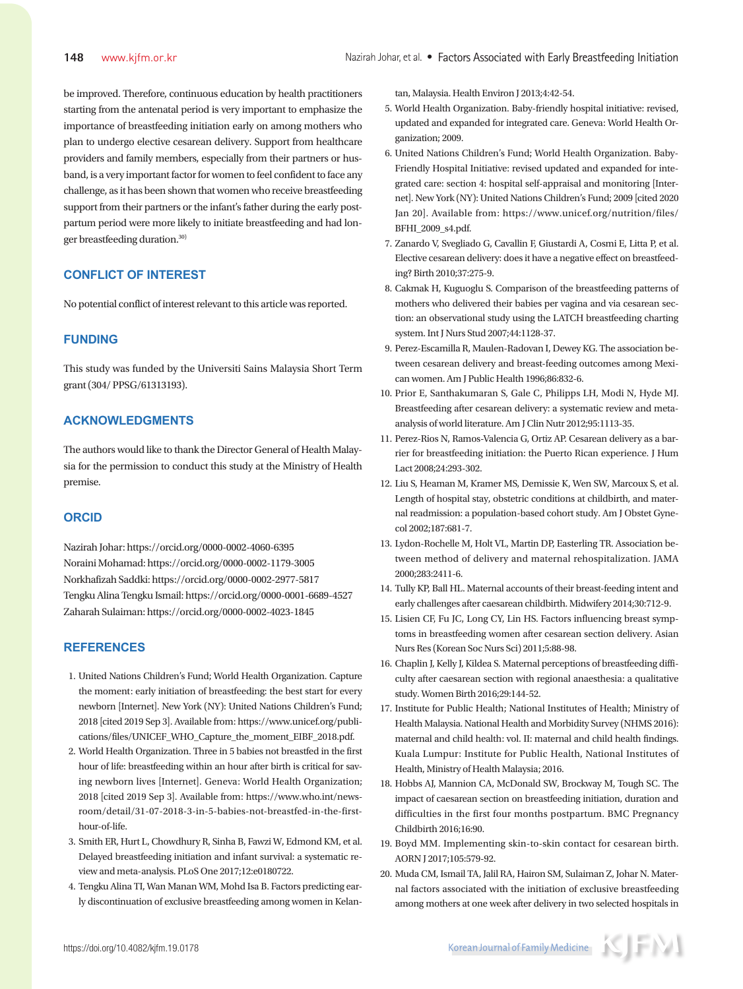be improved. Therefore, continuous education by health practitioners starting from the antenatal period is very important to emphasize the importance of breastfeeding initiation early on among mothers who plan to undergo elective cesarean delivery. Support from healthcare providers and family members, especially from their partners or husband, is a very important factor for women to feel confident to face any challenge, as it has been shown that women who receive breastfeeding support from their partners or the infant's father during the early postpartum period were more likely to initiate breastfeeding and had longer breastfeeding duration.30)

# **CONFLICT OF INTEREST**

No potential conflict of interest relevant to this article was reported.

### **FUNDING**

This study was funded by the Universiti Sains Malaysia Short Term grant (304/ PPSG/61313193).

# **ACKNOWLEDGMENTS**

The authors would like to thank the Director General of Health Malaysia for the permission to conduct this study at the Ministry of Health premise.

# **ORCID**

Nazirah Johar: https://orcid.org/0000-0002-4060-6395 Noraini Mohamad: https://orcid.org/0000-0002-1179-3005 Norkhafizah Saddki: https://orcid.org/0000-0002-2977-5817 Tengku Alina Tengku Ismail: https://orcid.org/0000-0001-6689-4527 Zaharah Sulaiman: https://orcid.org/0000-0002-4023-1845

# **REFERENCES**

- 1. United Nations Children's Fund; World Health Organization. Capture the moment: early initiation of breastfeeding: the best start for every newborn [Internet]. New York (NY): United Nations Children's Fund; 2018 [cited 2019 Sep 3]. Available from: https://www.unicef.org/publications/files/UNICEF\_WHO\_Capture\_the\_moment\_EIBF\_2018.pdf.
- 2. World Health Organization. Three in 5 babies not breastfed in the first hour of life: breastfeeding within an hour after birth is critical for saving newborn lives [Internet]. Geneva: World Health Organization; 2018 [cited 2019 Sep 3]. Available from: https://www.who.int/newsroom/detail/31-07-2018-3-in-5-babies-not-breastfed-in-the-firsthour-of-life.
- 3. Smith ER, Hurt L, Chowdhury R, Sinha B, Fawzi W, Edmond KM, et al. Delayed breastfeeding initiation and infant survival: a systematic review and meta-analysis. PLoS One 2017;12:e0180722.
- 4. Tengku Alina TI, Wan Manan WM, Mohd Isa B. Factors predicting early discontinuation of exclusive breastfeeding among women in Kelan-

tan, Malaysia. Health Environ J 2013;4:42-54.

- 5. World Health Organization. Baby-friendly hospital initiative: revised, updated and expanded for integrated care. Geneva: World Health Organization; 2009.
- 6. United Nations Children's Fund; World Health Organization. Baby-Friendly Hospital Initiative: revised updated and expanded for integrated care: section 4: hospital self-appraisal and monitoring [Internet]. New York (NY): United Nations Children's Fund; 2009 [cited 2020 Jan 20]. Available from: https://www.unicef.org/nutrition/files/ BFHI\_2009\_s4.pdf.
- 7. Zanardo V, Svegliado G, Cavallin F, Giustardi A, Cosmi E, Litta P, et al. Elective cesarean delivery: does it have a negative effect on breastfeeding? Birth 2010;37:275-9.
- 8. Cakmak H, Kuguoglu S. Comparison of the breastfeeding patterns of mothers who delivered their babies per vagina and via cesarean section: an observational study using the LATCH breastfeeding charting system. Int J Nurs Stud 2007;44:1128-37.
- 9. Perez-Escamilla R, Maulen-Radovan I, Dewey KG. The association between cesarean delivery and breast-feeding outcomes among Mexican women. Am J Public Health 1996;86:832-6.
- 10. Prior E, Santhakumaran S, Gale C, Philipps LH, Modi N, Hyde MJ. Breastfeeding after cesarean delivery: a systematic review and metaanalysis of world literature. Am J Clin Nutr 2012;95:1113-35.
- 11. Perez-Rios N, Ramos-Valencia G, Ortiz AP. Cesarean delivery as a barrier for breastfeeding initiation: the Puerto Rican experience. J Hum Lact 2008;24:293-302.
- 12. Liu S, Heaman M, Kramer MS, Demissie K, Wen SW, Marcoux S, et al. Length of hospital stay, obstetric conditions at childbirth, and maternal readmission: a population-based cohort study. Am J Obstet Gynecol 2002;187:681-7.
- 13. Lydon-Rochelle M, Holt VL, Martin DP, Easterling TR. Association between method of delivery and maternal rehospitalization. JAMA 2000;283:2411-6.
- 14. Tully KP, Ball HL. Maternal accounts of their breast-feeding intent and early challenges after caesarean childbirth. Midwifery 2014;30:712-9.
- 15. Lisien CF, Fu JC, Long CY, Lin HS. Factors influencing breast symptoms in breastfeeding women after cesarean section delivery. Asian Nurs Res (Korean Soc Nurs Sci) 2011;5:88-98.
- 16. Chaplin J, Kelly J, Kildea S. Maternal perceptions of breastfeeding difficulty after caesarean section with regional anaesthesia: a qualitative study. Women Birth 2016;29:144-52.
- 17. Institute for Public Health; National Institutes of Health; Ministry of Health Malaysia. National Health and Morbidity Survey (NHMS 2016): maternal and child health: vol. II: maternal and child health findings. Kuala Lumpur: Institute for Public Health, National Institutes of Health, Ministry of Health Malaysia; 2016.
- 18. Hobbs AJ, Mannion CA, McDonald SW, Brockway M, Tough SC. The impact of caesarean section on breastfeeding initiation, duration and difficulties in the first four months postpartum. BMC Pregnancy Childbirth 2016;16:90.
- 19. Boyd MM. Implementing skin-to-skin contact for cesarean birth. AORN J 2017;105:579-92.
- 20. Muda CM, Ismail TA, Jalil RA, Hairon SM, Sulaiman Z, Johar N. Maternal factors associated with the initiation of exclusive breastfeeding among mothers at one week after delivery in two selected hospitals in